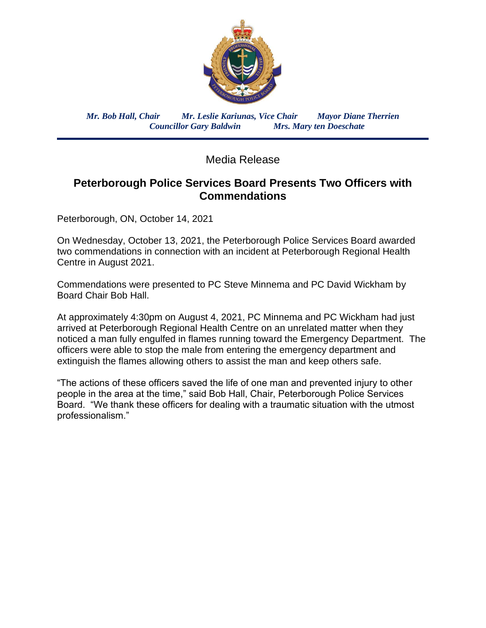

*Mr. Bob Hall, Chair Mr. Leslie Kariunas, Vice Chair Mayor Diane Therrien Councillor Gary Baldwin Mrs. Mary ten Doeschate*

Media Release

## **Peterborough Police Services Board Presents Two Officers with Commendations**

Peterborough, ON, October 14, 2021

On Wednesday, October 13, 2021, the Peterborough Police Services Board awarded two commendations in connection with an incident at Peterborough Regional Health Centre in August 2021.

Commendations were presented to PC Steve Minnema and PC David Wickham by Board Chair Bob Hall.

At approximately 4:30pm on August 4, 2021, PC Minnema and PC Wickham had just arrived at Peterborough Regional Health Centre on an unrelated matter when they noticed a man fully engulfed in flames running toward the Emergency Department. The officers were able to stop the male from entering the emergency department and extinguish the flames allowing others to assist the man and keep others safe.

"The actions of these officers saved the life of one man and prevented injury to other people in the area at the time," said Bob Hall, Chair, Peterborough Police Services Board. "We thank these officers for dealing with a traumatic situation with the utmost professionalism."